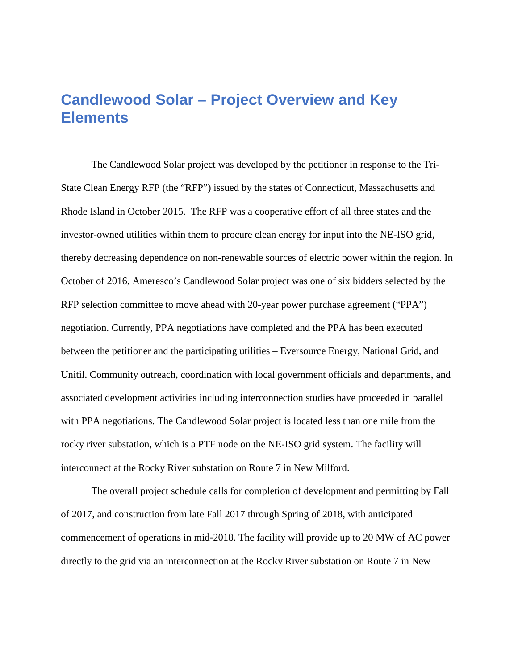## **Candlewood Solar – Project Overview and Key Elements**

The Candlewood Solar project was developed by the petitioner in response to the Tri-State Clean Energy RFP (the "RFP") issued by the states of Connecticut, Massachusetts and Rhode Island in October 2015. The RFP was a cooperative effort of all three states and the investor-owned utilities within them to procure clean energy for input into the NE-ISO grid, thereby decreasing dependence on non-renewable sources of electric power within the region. In October of 2016, Ameresco's Candlewood Solar project was one of six bidders selected by the RFP selection committee to move ahead with 20-year power purchase agreement ("PPA") negotiation. Currently, PPA negotiations have completed and the PPA has been executed between the petitioner and the participating utilities – Eversource Energy, National Grid, and Unitil. Community outreach, coordination with local government officials and departments, and associated development activities including interconnection studies have proceeded in parallel with PPA negotiations. The Candlewood Solar project is located less than one mile from the rocky river substation, which is a PTF node on the NE-ISO grid system. The facility will interconnect at the Rocky River substation on Route 7 in New Milford.

The overall project schedule calls for completion of development and permitting by Fall of 2017, and construction from late Fall 2017 through Spring of 2018, with anticipated commencement of operations in mid-2018. The facility will provide up to 20 MW of AC power directly to the grid via an interconnection at the Rocky River substation on Route 7 in New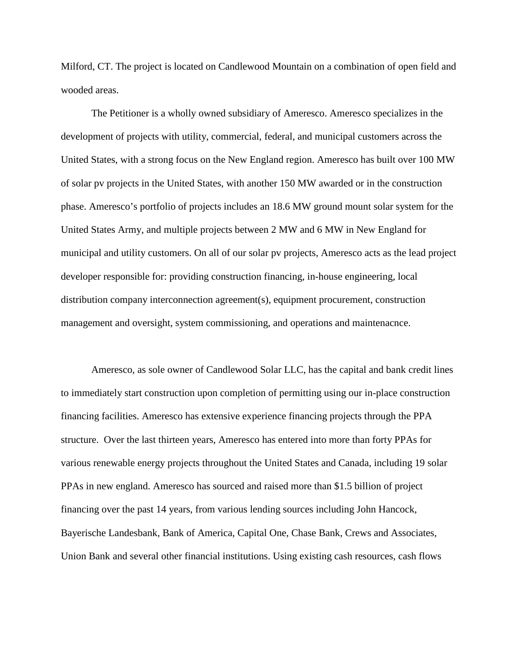Milford, CT. The project is located on Candlewood Mountain on a combination of open field and wooded areas.

The Petitioner is a wholly owned subsidiary of Ameresco. Ameresco specializes in the development of projects with utility, commercial, federal, and municipal customers across the United States, with a strong focus on the New England region. Ameresco has built over 100 MW of solar pv projects in the United States, with another 150 MW awarded or in the construction phase. Ameresco's portfolio of projects includes an 18.6 MW ground mount solar system for the United States Army, and multiple projects between 2 MW and 6 MW in New England for municipal and utility customers. On all of our solar pv projects, Ameresco acts as the lead project developer responsible for: providing construction financing, in-house engineering, local distribution company interconnection agreement(s), equipment procurement, construction management and oversight, system commissioning, and operations and maintenacnce.

Ameresco, as sole owner of Candlewood Solar LLC, has the capital and bank credit lines to immediately start construction upon completion of permitting using our in-place construction financing facilities. Ameresco has extensive experience financing projects through the PPA structure. Over the last thirteen years, Ameresco has entered into more than forty PPAs for various renewable energy projects throughout the United States and Canada, including 19 solar PPAs in new england. Ameresco has sourced and raised more than \$1.5 billion of project financing over the past 14 years, from various lending sources including John Hancock, Bayerische Landesbank, Bank of America, Capital One, Chase Bank, Crews and Associates, Union Bank and several other financial institutions. Using existing cash resources, cash flows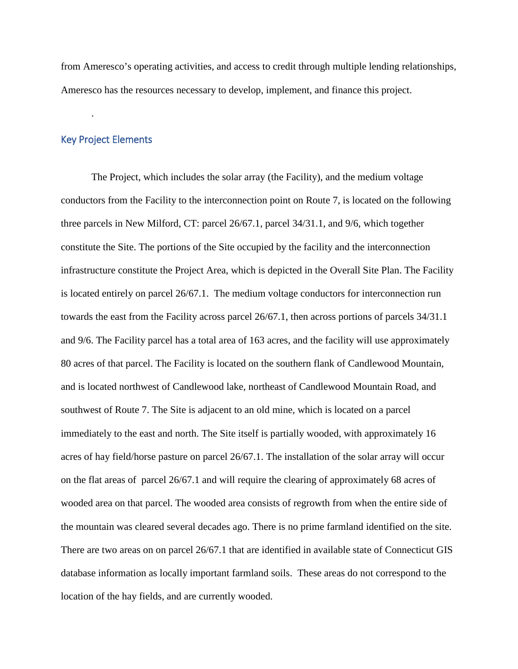from Ameresco's operating activities, and access to credit through multiple lending relationships, Ameresco has the resources necessary to develop, implement, and finance this project.

## Key Project Elements

.

The Project, which includes the solar array (the Facility), and the medium voltage conductors from the Facility to the interconnection point on Route 7, is located on the following three parcels in New Milford, CT: parcel 26/67.1, parcel 34/31.1, and 9/6, which together constitute the Site. The portions of the Site occupied by the facility and the interconnection infrastructure constitute the Project Area, which is depicted in the Overall Site Plan. The Facility is located entirely on parcel 26/67.1. The medium voltage conductors for interconnection run towards the east from the Facility across parcel 26/67.1, then across portions of parcels 34/31.1 and 9/6. The Facility parcel has a total area of 163 acres, and the facility will use approximately 80 acres of that parcel. The Facility is located on the southern flank of Candlewood Mountain, and is located northwest of Candlewood lake, northeast of Candlewood Mountain Road, and southwest of Route 7. The Site is adjacent to an old mine, which is located on a parcel immediately to the east and north. The Site itself is partially wooded, with approximately 16 acres of hay field/horse pasture on parcel 26/67.1. The installation of the solar array will occur on the flat areas of parcel 26/67.1 and will require the clearing of approximately 68 acres of wooded area on that parcel. The wooded area consists of regrowth from when the entire side of the mountain was cleared several decades ago. There is no prime farmland identified on the site. There are two areas on on parcel 26/67.1 that are identified in available state of Connecticut GIS database information as locally important farmland soils. These areas do not correspond to the location of the hay fields, and are currently wooded.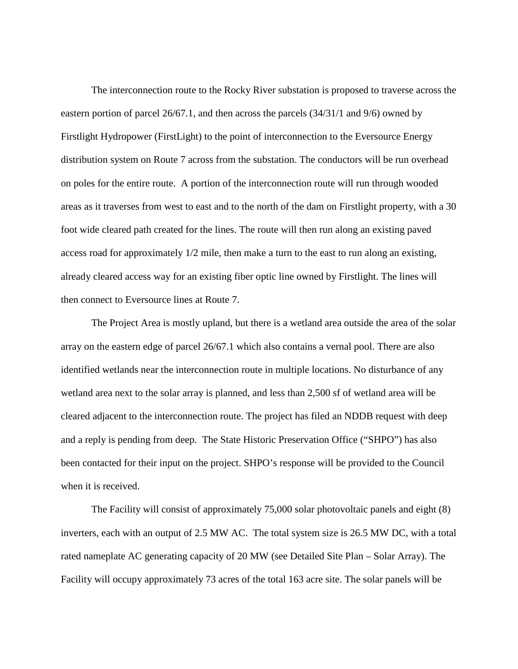The interconnection route to the Rocky River substation is proposed to traverse across the eastern portion of parcel 26/67.1, and then across the parcels (34/31/1 and 9/6) owned by Firstlight Hydropower (FirstLight) to the point of interconnection to the Eversource Energy distribution system on Route 7 across from the substation. The conductors will be run overhead on poles for the entire route. A portion of the interconnection route will run through wooded areas as it traverses from west to east and to the north of the dam on Firstlight property, with a 30 foot wide cleared path created for the lines. The route will then run along an existing paved access road for approximately 1/2 mile, then make a turn to the east to run along an existing, already cleared access way for an existing fiber optic line owned by Firstlight. The lines will then connect to Eversource lines at Route 7.

The Project Area is mostly upland, but there is a wetland area outside the area of the solar array on the eastern edge of parcel 26/67.1 which also contains a vernal pool. There are also identified wetlands near the interconnection route in multiple locations. No disturbance of any wetland area next to the solar array is planned, and less than 2,500 sf of wetland area will be cleared adjacent to the interconnection route. The project has filed an NDDB request with deep and a reply is pending from deep. The State Historic Preservation Office ("SHPO") has also been contacted for their input on the project. SHPO's response will be provided to the Council when it is received.

The Facility will consist of approximately 75,000 solar photovoltaic panels and eight (8) inverters, each with an output of 2.5 MW AC. The total system size is 26.5 MW DC, with a total rated nameplate AC generating capacity of 20 MW (see Detailed Site Plan – Solar Array). The Facility will occupy approximately 73 acres of the total 163 acre site. The solar panels will be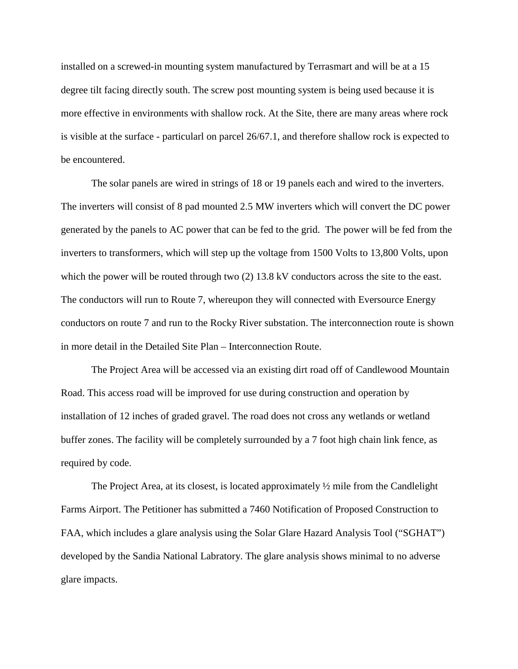installed on a screwed-in mounting system manufactured by Terrasmart and will be at a 15 degree tilt facing directly south. The screw post mounting system is being used because it is more effective in environments with shallow rock. At the Site, there are many areas where rock is visible at the surface - particularl on parcel 26/67.1, and therefore shallow rock is expected to be encountered.

The solar panels are wired in strings of 18 or 19 panels each and wired to the inverters. The inverters will consist of 8 pad mounted 2.5 MW inverters which will convert the DC power generated by the panels to AC power that can be fed to the grid. The power will be fed from the inverters to transformers, which will step up the voltage from 1500 Volts to 13,800 Volts, upon which the power will be routed through two (2) 13.8 kV conductors across the site to the east. The conductors will run to Route 7, whereupon they will connected with Eversource Energy conductors on route 7 and run to the Rocky River substation. The interconnection route is shown in more detail in the Detailed Site Plan – Interconnection Route.

The Project Area will be accessed via an existing dirt road off of Candlewood Mountain Road. This access road will be improved for use during construction and operation by installation of 12 inches of graded gravel. The road does not cross any wetlands or wetland buffer zones. The facility will be completely surrounded by a 7 foot high chain link fence, as required by code.

The Project Area, at its closest, is located approximately  $\frac{1}{2}$  mile from the Candlelight Farms Airport. The Petitioner has submitted a 7460 Notification of Proposed Construction to FAA, which includes a glare analysis using the Solar Glare Hazard Analysis Tool ("SGHAT") developed by the Sandia National Labratory. The glare analysis shows minimal to no adverse glare impacts.